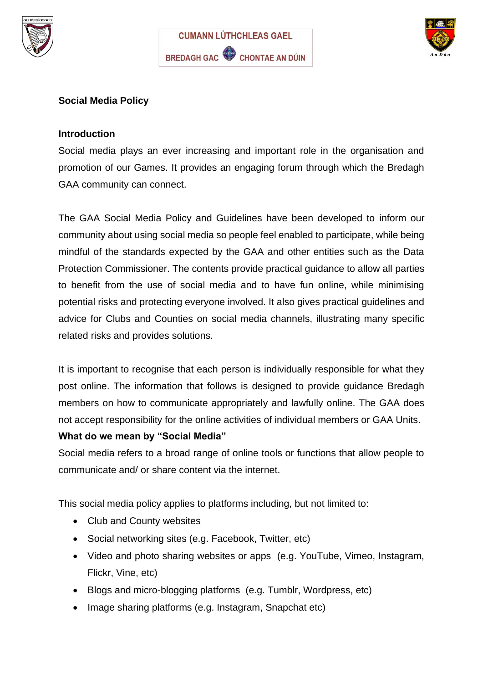





## **Social Media Policy**

#### **Introduction**

Social media plays an ever increasing and important role in the organisation and promotion of our Games. It provides an engaging forum through which the Bredagh GAA community can connect.

The GAA Social Media Policy and Guidelines have been developed to inform our community about using social media so people feel enabled to participate, while being mindful of the standards expected by the GAA and other entities such as the Data Protection Commissioner. The contents provide practical guidance to allow all parties to benefit from the use of social media and to have fun online, while minimising potential risks and protecting everyone involved. It also gives practical guidelines and advice for Clubs and Counties on social media channels, illustrating many specific related risks and provides solutions.

It is important to recognise that each person is individually responsible for what they post online. The information that follows is designed to provide guidance Bredagh members on how to communicate appropriately and lawfully online. The GAA does not accept responsibility for the online activities of individual members or GAA Units.

#### **What do we mean by "Social Media"**

Social media refers to a broad range of online tools or functions that allow people to communicate and/ or share content via the internet.

This social media policy applies to platforms including, but not limited to:

- Club and County websites
- Social networking sites (e.g. Facebook, Twitter, etc)
- Video and photo sharing websites or apps (e.g. YouTube, Vimeo, Instagram, Flickr, Vine, etc)
- Blogs and micro-blogging platforms (e.g. Tumblr, Wordpress, etc)
- Image sharing platforms (e.g. Instagram, Snapchat etc)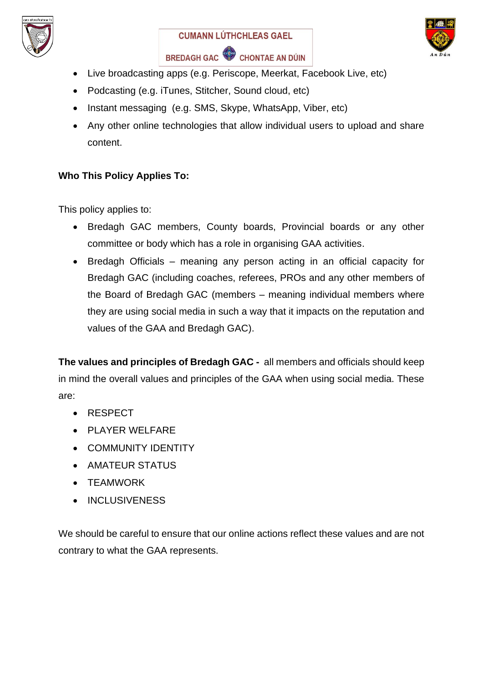





- Live broadcasting apps (e.g. Periscope, Meerkat, Facebook Live, etc)
- Podcasting (e.g. iTunes, Stitcher, Sound cloud, etc)
- Instant messaging (e.g. SMS, Skype, WhatsApp, Viber, etc)
- Any other online technologies that allow individual users to upload and share content.

# **Who This Policy Applies To:**

This policy applies to:

- Bredagh GAC members, County boards, Provincial boards or any other committee or body which has a role in organising GAA activities.
- Bredagh Officials meaning any person acting in an official capacity for Bredagh GAC (including coaches, referees, PROs and any other members of the Board of Bredagh GAC (members – meaning individual members where they are using social media in such a way that it impacts on the reputation and values of the GAA and Bredagh GAC).

**The values and principles of Bredagh GAC -** all members and officials should keep in mind the overall values and principles of the GAA when using social media. These are:

- RESPECT
- PLAYER WELFARE
- COMMUNITY IDENTITY
- AMATEUR STATUS
- TEAMWORK
- INCLUSIVENESS

We should be careful to ensure that our online actions reflect these values and are not contrary to what the GAA represents.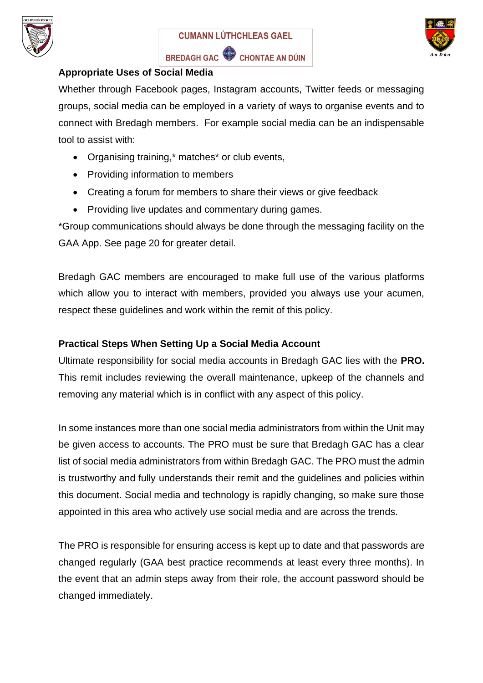





## **Appropriate Uses of Social Media**

Whether through Facebook pages, Instagram accounts, Twitter feeds or messaging groups, social media can be employed in a variety of ways to organise events and to connect with Bredagh members. For example social media can be an indispensable tool to assist with:

- Organising training,\* matches\* or club events,
- Providing information to members
- Creating a forum for members to share their views or give feedback
- Providing live updates and commentary during games.

\*Group communications should always be done through the messaging facility on the GAA App. See page 20 for greater detail.

Bredagh GAC members are encouraged to make full use of the various platforms which allow you to interact with members, provided you always use your acumen, respect these guidelines and work within the remit of this policy.

# **Practical Steps When Setting Up a Social Media Account**

Ultimate responsibility for social media accounts in Bredagh GAC lies with the **PRO.** This remit includes reviewing the overall maintenance, upkeep of the channels and removing any material which is in conflict with any aspect of this policy.

In some instances more than one social media administrators from within the Unit may be given access to accounts. The PRO must be sure that Bredagh GAC has a clear list of social media administrators from within Bredagh GAC. The PRO must the admin is trustworthy and fully understands their remit and the guidelines and policies within this document. Social media and technology is rapidly changing, so make sure those appointed in this area who actively use social media and are across the trends.

The PRO is responsible for ensuring access is kept up to date and that passwords are changed regularly (GAA best practice recommends at least every three months). In the event that an admin steps away from their role, the account password should be changed immediately.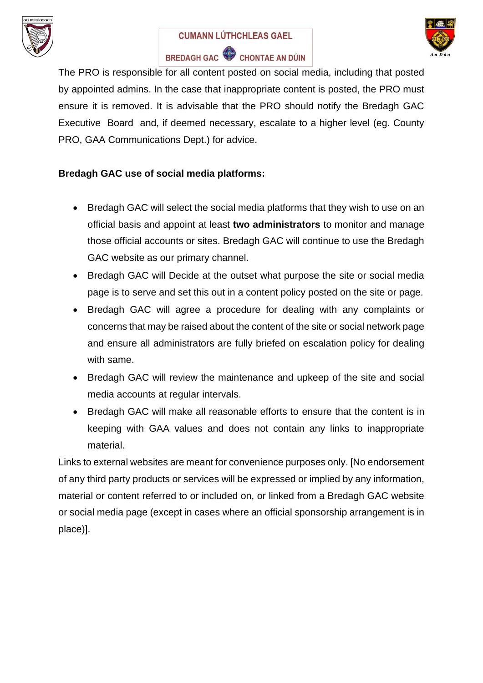

# **CUMANN LÚTHCHLEAS GAEL** BREDAGH GAC CHONTAE AN DÚIN



The PRO is responsible for all content posted on social media, including that posted by appointed admins. In the case that inappropriate content is posted, the PRO must ensure it is removed. It is advisable that the PRO should notify the Bredagh GAC Executive Board and, if deemed necessary, escalate to a higher level (eg. County PRO, GAA Communications Dept.) for advice.

# **Bredagh GAC use of social media platforms:**

- Bredagh GAC will select the social media platforms that they wish to use on an official basis and appoint at least **two administrators** to monitor and manage those official accounts or sites. Bredagh GAC will continue to use the Bredagh GAC website as our primary channel.
- Bredagh GAC will Decide at the outset what purpose the site or social media page is to serve and set this out in a content policy posted on the site or page.
- Bredagh GAC will agree a procedure for dealing with any complaints or concerns that may be raised about the content of the site or social network page and ensure all administrators are fully briefed on escalation policy for dealing with same.
- Bredagh GAC will review the maintenance and upkeep of the site and social media accounts at regular intervals.
- Bredagh GAC will make all reasonable efforts to ensure that the content is in keeping with GAA values and does not contain any links to inappropriate material.

Links to external websites are meant for convenience purposes only. [No endorsement of any third party products or services will be expressed or implied by any information, material or content referred to or included on, or linked from a Bredagh GAC website or social media page (except in cases where an official sponsorship arrangement is in place)].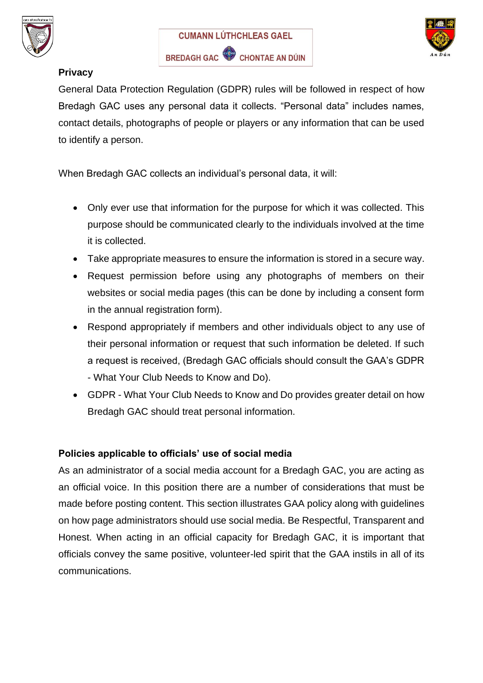





# **Privacy**

General Data Protection Regulation (GDPR) rules will be followed in respect of how Bredagh GAC uses any personal data it collects. "Personal data" includes names, contact details, photographs of people or players or any information that can be used to identify a person.

When Bredagh GAC collects an individual's personal data, it will:

- Only ever use that information for the purpose for which it was collected. This purpose should be communicated clearly to the individuals involved at the time it is collected.
- Take appropriate measures to ensure the information is stored in a secure way.
- Request permission before using any photographs of members on their websites or social media pages (this can be done by including a consent form in the annual registration form).
- Respond appropriately if members and other individuals object to any use of their personal information or request that such information be deleted. If such a request is received, (Bredagh GAC officials should consult the GAA's GDPR - What Your Club Needs to Know and Do).
- GDPR What Your Club Needs to Know and Do provides greater detail on how Bredagh GAC should treat personal information.

# **Policies applicable to officials' use of social media**

As an administrator of a social media account for a Bredagh GAC, you are acting as an official voice. In this position there are a number of considerations that must be made before posting content. This section illustrates GAA policy along with guidelines on how page administrators should use social media. Be Respectful, Transparent and Honest. When acting in an official capacity for Bredagh GAC, it is important that officials convey the same positive, volunteer-led spirit that the GAA instils in all of its communications.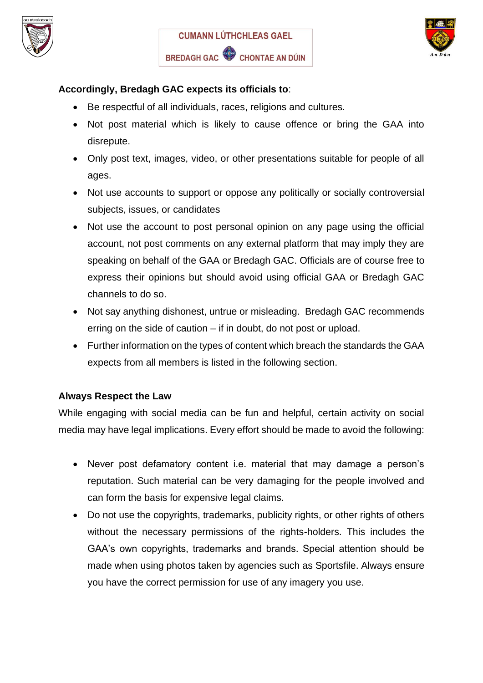





# **Accordingly, Bredagh GAC expects its officials to**:

- Be respectful of all individuals, races, religions and cultures.
- Not post material which is likely to cause offence or bring the GAA into disrepute.
- Only post text, images, video, or other presentations suitable for people of all ages.
- Not use accounts to support or oppose any politically or socially controversial subjects, issues, or candidates
- Not use the account to post personal opinion on any page using the official account, not post comments on any external platform that may imply they are speaking on behalf of the GAA or Bredagh GAC. Officials are of course free to express their opinions but should avoid using official GAA or Bredagh GAC channels to do so.
- Not say anything dishonest, untrue or misleading. Bredagh GAC recommends erring on the side of caution – if in doubt, do not post or upload.
- Further information on the types of content which breach the standards the GAA expects from all members is listed in the following section.

#### **Always Respect the Law**

While engaging with social media can be fun and helpful, certain activity on social media may have legal implications. Every effort should be made to avoid the following:

- Never post defamatory content i.e. material that may damage a person's reputation. Such material can be very damaging for the people involved and can form the basis for expensive legal claims.
- Do not use the copyrights, trademarks, publicity rights, or other rights of others without the necessary permissions of the rights-holders. This includes the GAA's own copyrights, trademarks and brands. Special attention should be made when using photos taken by agencies such as Sportsfile. Always ensure you have the correct permission for use of any imagery you use.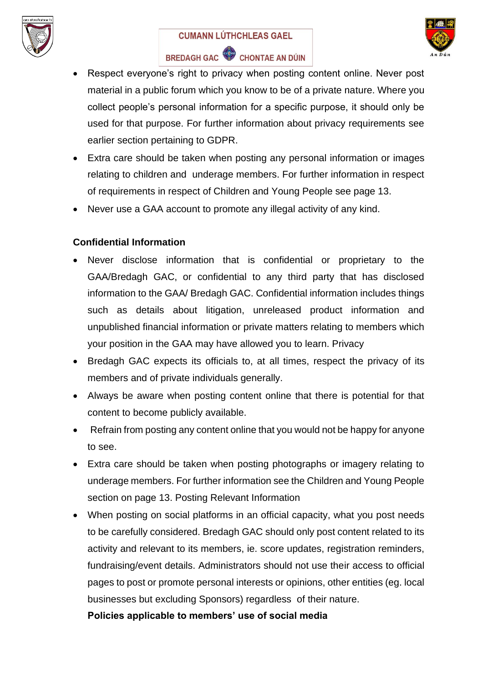

# **CUMANN LÚTHCHLEAS GAEL**



BREDAGH GAC CHONTAE AN DÚIN

- Respect everyone's right to privacy when posting content online. Never post material in a public forum which you know to be of a private nature. Where you collect people's personal information for a specific purpose, it should only be used for that purpose. For further information about privacy requirements see earlier section pertaining to GDPR.
- Extra care should be taken when posting any personal information or images relating to children and underage members. For further information in respect of requirements in respect of Children and Young People see page 13.
- Never use a GAA account to promote any illegal activity of any kind.

# **Confidential Information**

- Never disclose information that is confidential or proprietary to the GAA/Bredagh GAC, or confidential to any third party that has disclosed information to the GAA/ Bredagh GAC. Confidential information includes things such as details about litigation, unreleased product information and unpublished financial information or private matters relating to members which your position in the GAA may have allowed you to learn. Privacy
- Bredagh GAC expects its officials to, at all times, respect the privacy of its members and of private individuals generally.
- Always be aware when posting content online that there is potential for that content to become publicly available.
- Refrain from posting any content online that you would not be happy for anyone to see.
- Extra care should be taken when posting photographs or imagery relating to underage members. For further information see the Children and Young People section on page 13. Posting Relevant Information
- When posting on social platforms in an official capacity, what you post needs to be carefully considered. Bredagh GAC should only post content related to its activity and relevant to its members, ie. score updates, registration reminders, fundraising/event details. Administrators should not use their access to official pages to post or promote personal interests or opinions, other entities (eg. local businesses but excluding Sponsors) regardless of their nature.

**Policies applicable to members' use of social media**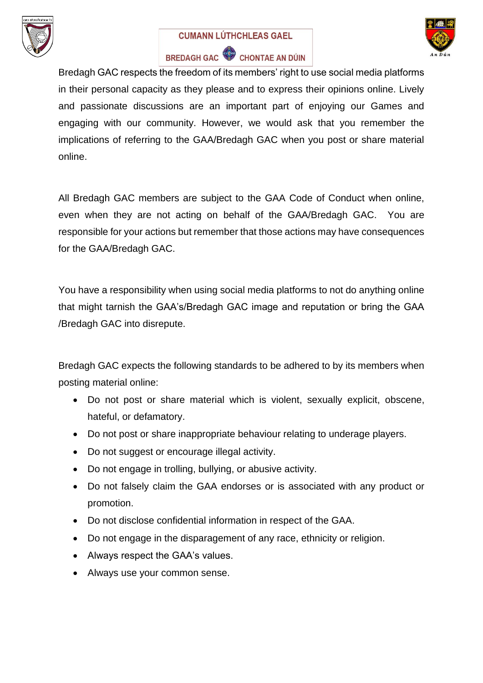

#### **CUMANN LÚTHCHLEAS GAEL**



# BREDAGH GAC CHONTAE AN DÚIN

Bredagh GAC respects the freedom of its members' right to use social media platforms in their personal capacity as they please and to express their opinions online. Lively and passionate discussions are an important part of enjoying our Games and engaging with our community. However, we would ask that you remember the implications of referring to the GAA/Bredagh GAC when you post or share material online.

All Bredagh GAC members are subject to the GAA Code of Conduct when online, even when they are not acting on behalf of the GAA/Bredagh GAC. You are responsible for your actions but remember that those actions may have consequences for the GAA/Bredagh GAC.

You have a responsibility when using social media platforms to not do anything online that might tarnish the GAA's/Bredagh GAC image and reputation or bring the GAA /Bredagh GAC into disrepute.

Bredagh GAC expects the following standards to be adhered to by its members when posting material online:

- Do not post or share material which is violent, sexually explicit, obscene, hateful, or defamatory.
- Do not post or share inappropriate behaviour relating to underage players.
- Do not suggest or encourage illegal activity.
- Do not engage in trolling, bullying, or abusive activity.
- Do not falsely claim the GAA endorses or is associated with any product or promotion.
- Do not disclose confidential information in respect of the GAA.
- Do not engage in the disparagement of any race, ethnicity or religion.
- Always respect the GAA's values.
- Always use your common sense.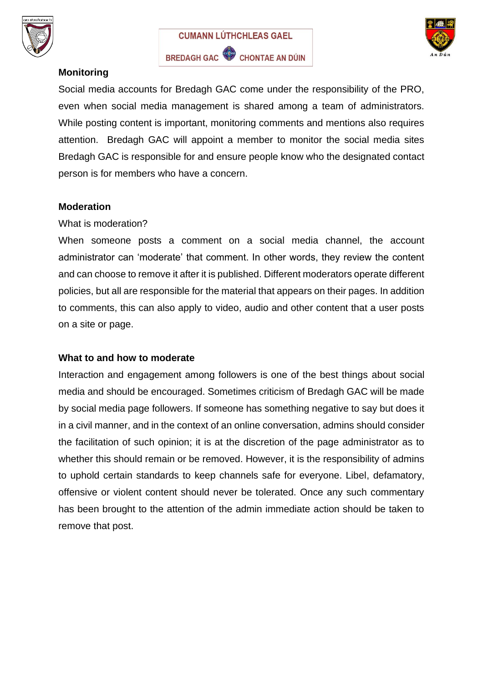





# **Monitoring**

Social media accounts for Bredagh GAC come under the responsibility of the PRO, even when social media management is shared among a team of administrators. While posting content is important, monitoring comments and mentions also requires attention. Bredagh GAC will appoint a member to monitor the social media sites Bredagh GAC is responsible for and ensure people know who the designated contact person is for members who have a concern.

#### **Moderation**

#### What is moderation?

When someone posts a comment on a social media channel, the account administrator can 'moderate' that comment. In other words, they review the content and can choose to remove it after it is published. Different moderators operate different policies, but all are responsible for the material that appears on their pages. In addition to comments, this can also apply to video, audio and other content that a user posts on a site or page.

#### **What to and how to moderate**

Interaction and engagement among followers is one of the best things about social media and should be encouraged. Sometimes criticism of Bredagh GAC will be made by social media page followers. If someone has something negative to say but does it in a civil manner, and in the context of an online conversation, admins should consider the facilitation of such opinion; it is at the discretion of the page administrator as to whether this should remain or be removed. However, it is the responsibility of admins to uphold certain standards to keep channels safe for everyone. Libel, defamatory, offensive or violent content should never be tolerated. Once any such commentary has been brought to the attention of the admin immediate action should be taken to remove that post.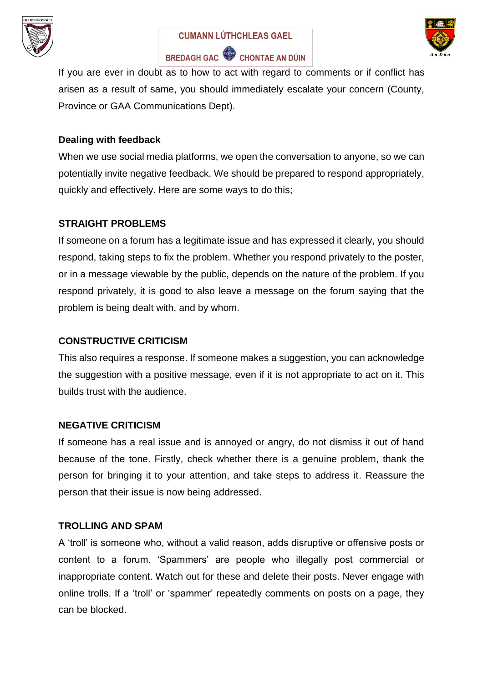





If you are ever in doubt as to how to act with regard to comments or if conflict has arisen as a result of same, you should immediately escalate your concern (County, Province or GAA Communications Dept).

#### **Dealing with feedback**

When we use social media platforms, we open the conversation to anyone, so we can potentially invite negative feedback. We should be prepared to respond appropriately, quickly and effectively. Here are some ways to do this;

#### **STRAIGHT PROBLEMS**

If someone on a forum has a legitimate issue and has expressed it clearly, you should respond, taking steps to fix the problem. Whether you respond privately to the poster, or in a message viewable by the public, depends on the nature of the problem. If you respond privately, it is good to also leave a message on the forum saying that the problem is being dealt with, and by whom.

#### **CONSTRUCTIVE CRITICISM**

This also requires a response. If someone makes a suggestion, you can acknowledge the suggestion with a positive message, even if it is not appropriate to act on it. This builds trust with the audience.

#### **NEGATIVE CRITICISM**

If someone has a real issue and is annoyed or angry, do not dismiss it out of hand because of the tone. Firstly, check whether there is a genuine problem, thank the person for bringing it to your attention, and take steps to address it. Reassure the person that their issue is now being addressed.

#### **TROLLING AND SPAM**

A 'troll' is someone who, without a valid reason, adds disruptive or offensive posts or content to a forum. 'Spammers' are people who illegally post commercial or inappropriate content. Watch out for these and delete their posts. Never engage with online trolls. If a 'troll' or 'spammer' repeatedly comments on posts on a page, they can be blocked.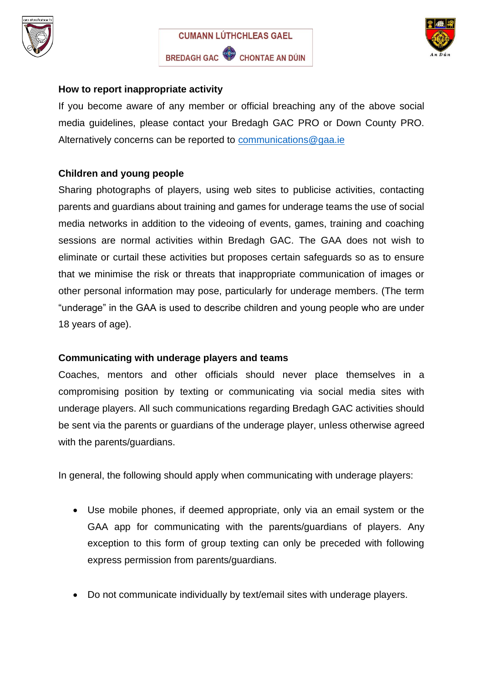





### **How to report inappropriate activity**

If you become aware of any member or official breaching any of the above social media guidelines, please contact your Bredagh GAC PRO or Down County PRO. Alternatively concerns can be reported to [communications@gaa.ie](mailto:communications@gaa.ie)

# **Children and young people**

Sharing photographs of players, using web sites to publicise activities, contacting parents and guardians about training and games for underage teams the use of social media networks in addition to the videoing of events, games, training and coaching sessions are normal activities within Bredagh GAC. The GAA does not wish to eliminate or curtail these activities but proposes certain safeguards so as to ensure that we minimise the risk or threats that inappropriate communication of images or other personal information may pose, particularly for underage members. (The term "underage" in the GAA is used to describe children and young people who are under 18 years of age).

#### **Communicating with underage players and teams**

Coaches, mentors and other officials should never place themselves in a compromising position by texting or communicating via social media sites with underage players. All such communications regarding Bredagh GAC activities should be sent via the parents or guardians of the underage player, unless otherwise agreed with the parents/guardians.

In general, the following should apply when communicating with underage players:

- Use mobile phones, if deemed appropriate, only via an email system or the GAA app for communicating with the parents/guardians of players. Any exception to this form of group texting can only be preceded with following express permission from parents/guardians.
- Do not communicate individually by text/email sites with underage players.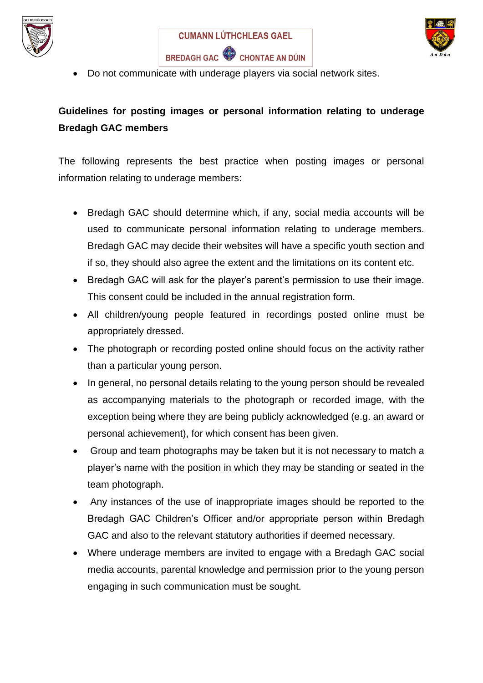





• Do not communicate with underage players via social network sites.

# **Guidelines for posting images or personal information relating to underage Bredagh GAC members**

The following represents the best practice when posting images or personal information relating to underage members:

- Bredagh GAC should determine which, if any, social media accounts will be used to communicate personal information relating to underage members. Bredagh GAC may decide their websites will have a specific youth section and if so, they should also agree the extent and the limitations on its content etc.
- Bredagh GAC will ask for the player's parent's permission to use their image. This consent could be included in the annual registration form.
- All children/young people featured in recordings posted online must be appropriately dressed.
- The photograph or recording posted online should focus on the activity rather than a particular young person.
- In general, no personal details relating to the young person should be revealed as accompanying materials to the photograph or recorded image, with the exception being where they are being publicly acknowledged (e.g. an award or personal achievement), for which consent has been given.
- Group and team photographs may be taken but it is not necessary to match a player's name with the position in which they may be standing or seated in the team photograph.
- Any instances of the use of inappropriate images should be reported to the Bredagh GAC Children's Officer and/or appropriate person within Bredagh GAC and also to the relevant statutory authorities if deemed necessary.
- Where underage members are invited to engage with a Bredagh GAC social media accounts, parental knowledge and permission prior to the young person engaging in such communication must be sought.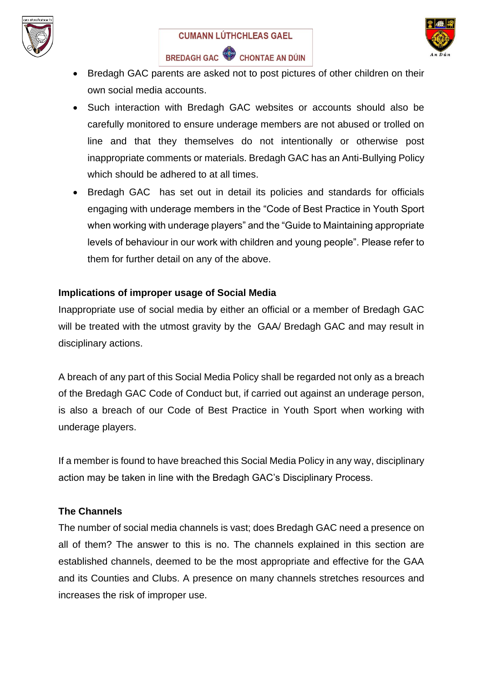



- Bredagh GAC parents are asked not to post pictures of other children on their own social media accounts.
- Such interaction with Bredagh GAC websites or accounts should also be carefully monitored to ensure underage members are not abused or trolled on line and that they themselves do not intentionally or otherwise post inappropriate comments or materials. Bredagh GAC has an Anti-Bullying Policy which should be adhered to at all times.
- Bredagh GAC has set out in detail its policies and standards for officials engaging with underage members in the "Code of Best Practice in Youth Sport when working with underage players" and the "Guide to Maintaining appropriate levels of behaviour in our work with children and young people". Please refer to them for further detail on any of the above.

# **Implications of improper usage of Social Media**

Inappropriate use of social media by either an official or a member of Bredagh GAC will be treated with the utmost gravity by the GAA/ Bredagh GAC and may result in disciplinary actions.

A breach of any part of this Social Media Policy shall be regarded not only as a breach of the Bredagh GAC Code of Conduct but, if carried out against an underage person, is also a breach of our Code of Best Practice in Youth Sport when working with underage players.

If a member is found to have breached this Social Media Policy in any way, disciplinary action may be taken in line with the Bredagh GAC's Disciplinary Process.

# **The Channels**

The number of social media channels is vast; does Bredagh GAC need a presence on all of them? The answer to this is no. The channels explained in this section are established channels, deemed to be the most appropriate and effective for the GAA and its Counties and Clubs. A presence on many channels stretches resources and increases the risk of improper use.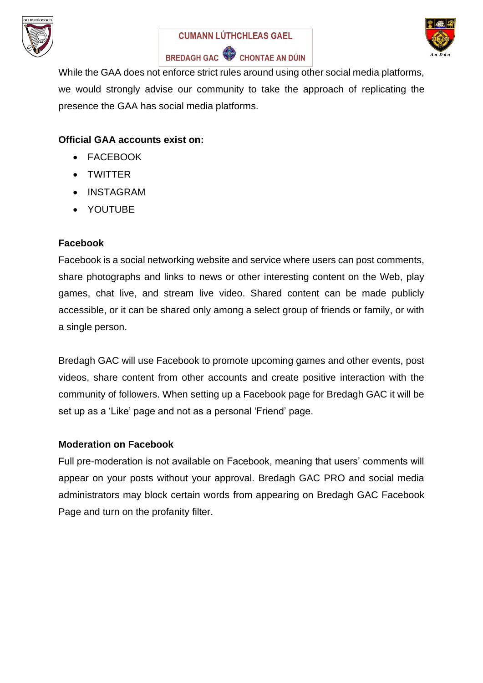





BREDAGH GAC CHONTAE AN DÚIN

While the GAA does not enforce strict rules around using other social media platforms, we would strongly advise our community to take the approach of replicating the presence the GAA has social media platforms.

# **Official GAA accounts exist on:**

- FACEBOOK
- TWITTER
- INSTAGRAM
- YOUTUBE

#### **Facebook**

Facebook is a social networking website and service where users can post comments, share photographs and links to news or other interesting content on the Web, play games, chat live, and stream live video. Shared content can be made publicly accessible, or it can be shared only among a select group of friends or family, or with a single person.

Bredagh GAC will use Facebook to promote upcoming games and other events, post videos, share content from other accounts and create positive interaction with the community of followers. When setting up a Facebook page for Bredagh GAC it will be set up as a 'Like' page and not as a personal 'Friend' page.

#### **Moderation on Facebook**

Full pre-moderation is not available on Facebook, meaning that users' comments will appear on your posts without your approval. Bredagh GAC PRO and social media administrators may block certain words from appearing on Bredagh GAC Facebook Page and turn on the profanity filter.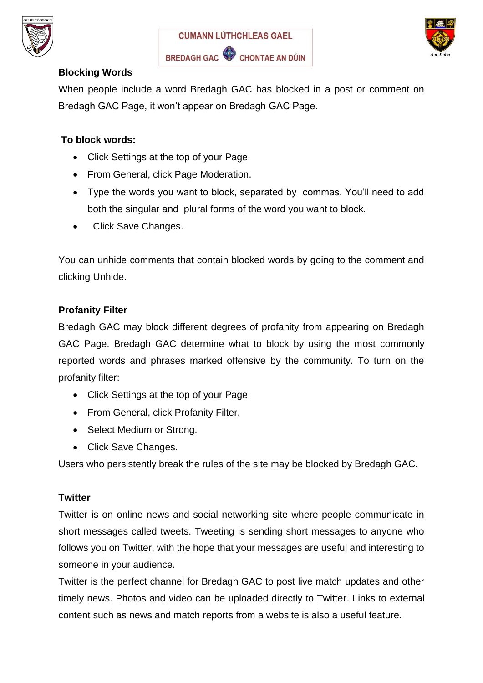





# **Blocking Words**

When people include a word Bredagh GAC has blocked in a post or comment on Bredagh GAC Page, it won't appear on Bredagh GAC Page.

## **To block words:**

- Click Settings at the top of your Page.
- From General, click Page Moderation.
- Type the words you want to block, separated by commas. You'll need to add both the singular and plural forms of the word you want to block.
- Click Save Changes.

You can unhide comments that contain blocked words by going to the comment and clicking Unhide.

#### **Profanity Filter**

Bredagh GAC may block different degrees of profanity from appearing on Bredagh GAC Page. Bredagh GAC determine what to block by using the most commonly reported words and phrases marked offensive by the community. To turn on the profanity filter:

- Click Settings at the top of your Page.
- From General, click Profanity Filter.
- Select Medium or Strong.
- Click Save Changes.

Users who persistently break the rules of the site may be blocked by Bredagh GAC.

#### **Twitter**

Twitter is on online news and social networking site where people communicate in short messages called tweets. Tweeting is sending short messages to anyone who follows you on Twitter, with the hope that your messages are useful and interesting to someone in your audience.

Twitter is the perfect channel for Bredagh GAC to post live match updates and other timely news. Photos and video can be uploaded directly to Twitter. Links to external content such as news and match reports from a website is also a useful feature.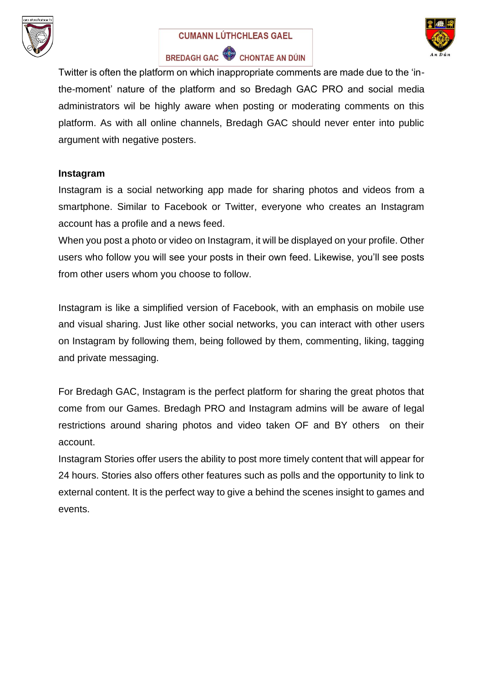

#### **CUMANN LÚTHCHLEAS GAEL**



BREDAGH GAC CHONTAE AN DÚIN

Twitter is often the platform on which inappropriate comments are made due to the 'inthe-moment' nature of the platform and so Bredagh GAC PRO and social media administrators wil be highly aware when posting or moderating comments on this platform. As with all online channels, Bredagh GAC should never enter into public argument with negative posters.

#### **Instagram**

Instagram is a social networking app made for sharing photos and videos from a smartphone. Similar to Facebook or Twitter, everyone who creates an Instagram account has a profile and a news feed.

When you post a photo or video on Instagram, it will be displayed on your profile. Other users who follow you will see your posts in their own feed. Likewise, you'll see posts from other users whom you choose to follow.

Instagram is like a simplified version of Facebook, with an emphasis on mobile use and visual sharing. Just like other social networks, you can interact with other users on Instagram by following them, being followed by them, commenting, liking, tagging and private messaging.

For Bredagh GAC, Instagram is the perfect platform for sharing the great photos that come from our Games. Bredagh PRO and Instagram admins will be aware of legal restrictions around sharing photos and video taken OF and BY others on their account.

Instagram Stories offer users the ability to post more timely content that will appear for 24 hours. Stories also offers other features such as polls and the opportunity to link to external content. It is the perfect way to give a behind the scenes insight to games and events.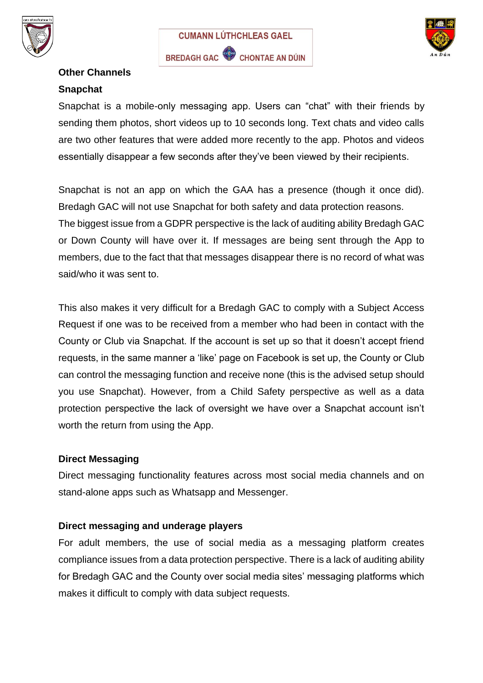





# **Other Channels Snapchat**

Snapchat is a mobile-only messaging app. Users can "chat" with their friends by sending them photos, short videos up to 10 seconds long. Text chats and video calls are two other features that were added more recently to the app. Photos and videos essentially disappear a few seconds after they've been viewed by their recipients.

Snapchat is not an app on which the GAA has a presence (though it once did). Bredagh GAC will not use Snapchat for both safety and data protection reasons. The biggest issue from a GDPR perspective is the lack of auditing ability Bredagh GAC or Down County will have over it. If messages are being sent through the App to members, due to the fact that that messages disappear there is no record of what was said/who it was sent to.

This also makes it very difficult for a Bredagh GAC to comply with a Subject Access Request if one was to be received from a member who had been in contact with the County or Club via Snapchat. If the account is set up so that it doesn't accept friend requests, in the same manner a 'like' page on Facebook is set up, the County or Club can control the messaging function and receive none (this is the advised setup should you use Snapchat). However, from a Child Safety perspective as well as a data protection perspective the lack of oversight we have over a Snapchat account isn't worth the return from using the App.

# **Direct Messaging**

Direct messaging functionality features across most social media channels and on stand-alone apps such as Whatsapp and Messenger.

# **Direct messaging and underage players**

For adult members, the use of social media as a messaging platform creates compliance issues from a data protection perspective. There is a lack of auditing ability for Bredagh GAC and the County over social media sites' messaging platforms which makes it difficult to comply with data subject requests.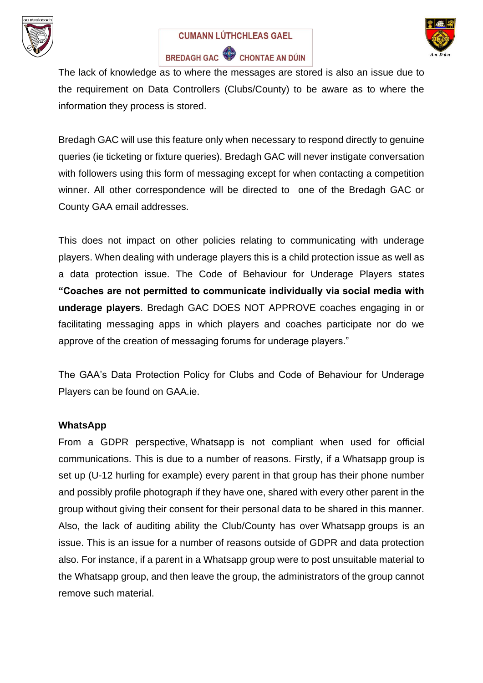





The lack of knowledge as to where the messages are stored is also an issue due to the requirement on Data Controllers (Clubs/County) to be aware as to where the information they process is stored.

Bredagh GAC will use this feature only when necessary to respond directly to genuine queries (ie ticketing or fixture queries). Bredagh GAC will never instigate conversation with followers using this form of messaging except for when contacting a competition winner. All other correspondence will be directed to one of the Bredagh GAC or County GAA email addresses.

This does not impact on other policies relating to communicating with underage players. When dealing with underage players this is a child protection issue as well as a data protection issue. The Code of Behaviour for Underage Players states **"Coaches are not permitted to communicate individually via social media with underage players**. Bredagh GAC DOES NOT APPROVE coaches engaging in or facilitating messaging apps in which players and coaches participate nor do we approve of the creation of messaging forums for underage players."

The GAA's Data Protection Policy for Clubs and Code of Behaviour for Underage Players can be found on GAA.ie.

#### **WhatsApp**

From a GDPR perspective, Whatsapp is not compliant when used for official communications. This is due to a number of reasons. Firstly, if a Whatsapp group is set up (U-12 hurling for example) every parent in that group has their phone number and possibly profile photograph if they have one, shared with every other parent in the group without giving their consent for their personal data to be shared in this manner. Also, the lack of auditing ability the Club/County has over Whatsapp groups is an issue. This is an issue for a number of reasons outside of GDPR and data protection also. For instance, if a parent in a Whatsapp group were to post unsuitable material to the Whatsapp group, and then leave the group, the administrators of the group cannot remove such material.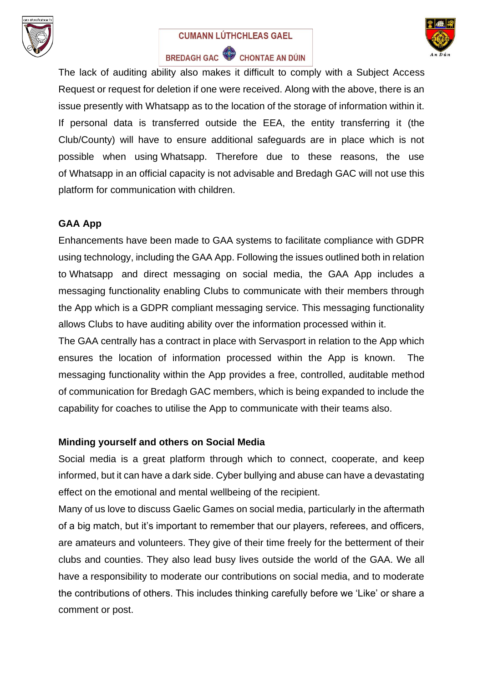

#### **CUMANN LÚTHCHLEAS GAEL**



# BREDAGH GAC CHONTAE AN DÚIN

The lack of auditing ability also makes it difficult to comply with a Subject Access Request or request for deletion if one were received. Along with the above, there is an issue presently with Whatsapp as to the location of the storage of information within it. If personal data is transferred outside the EEA, the entity transferring it (the Club/County) will have to ensure additional safeguards are in place which is not possible when using Whatsapp. Therefore due to these reasons, the use of Whatsapp in an official capacity is not advisable and Bredagh GAC will not use this platform for communication with children.

## **GAA App**

Enhancements have been made to GAA systems to facilitate compliance with GDPR using technology, including the GAA App. Following the issues outlined both in relation to Whatsapp and direct messaging on social media, the GAA App includes a messaging functionality enabling Clubs to communicate with their members through the App which is a GDPR compliant messaging service. This messaging functionality allows Clubs to have auditing ability over the information processed within it.

The GAA centrally has a contract in place with Servasport in relation to the App which ensures the location of information processed within the App is known. The messaging functionality within the App provides a free, controlled, auditable method of communication for Bredagh GAC members, which is being expanded to include the capability for coaches to utilise the App to communicate with their teams also.

#### **Minding yourself and others on Social Media**

Social media is a great platform through which to connect, cooperate, and keep informed, but it can have a dark side. Cyber bullying and abuse can have a devastating effect on the emotional and mental wellbeing of the recipient.

Many of us love to discuss Gaelic Games on social media, particularly in the aftermath of a big match, but it's important to remember that our players, referees, and officers, are amateurs and volunteers. They give of their time freely for the betterment of their clubs and counties. They also lead busy lives outside the world of the GAA. We all have a responsibility to moderate our contributions on social media, and to moderate the contributions of others. This includes thinking carefully before we 'Like' or share a comment or post.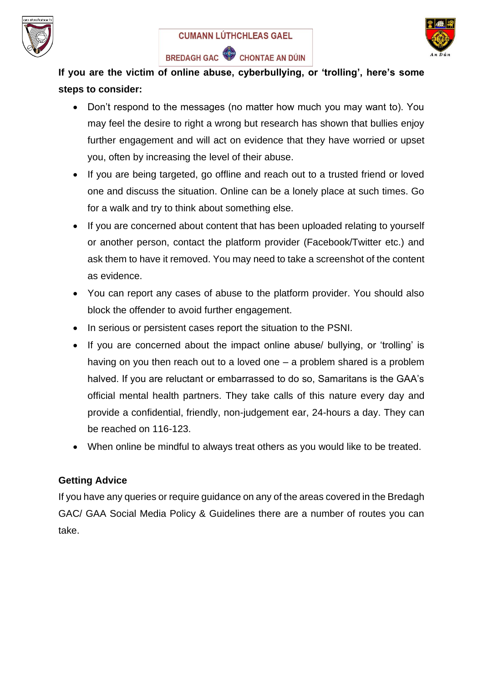





**If you are the victim of online abuse, cyberbullying, or 'trolling', here's some steps to consider:**

- Don't respond to the messages (no matter how much you may want to). You may feel the desire to right a wrong but research has shown that bullies enjoy further engagement and will act on evidence that they have worried or upset you, often by increasing the level of their abuse.
- If you are being targeted, go offline and reach out to a trusted friend or loved one and discuss the situation. Online can be a lonely place at such times. Go for a walk and try to think about something else.
- If you are concerned about content that has been uploaded relating to yourself or another person, contact the platform provider (Facebook/Twitter etc.) and ask them to have it removed. You may need to take a screenshot of the content as evidence.
- You can report any cases of abuse to the platform provider. You should also block the offender to avoid further engagement.
- In serious or persistent cases report the situation to the PSNI.
- If you are concerned about the impact online abuse/ bullying, or 'trolling' is having on you then reach out to a loved one – a problem shared is a problem halved. If you are reluctant or embarrassed to do so, Samaritans is the GAA's official mental health partners. They take calls of this nature every day and provide a confidential, friendly, non-judgement ear, 24-hours a day. They can be reached on 116-123.
- When online be mindful to always treat others as you would like to be treated.

# **Getting Advice**

If you have any queries or require guidance on any of the areas covered in the Bredagh GAC/ GAA Social Media Policy & Guidelines there are a number of routes you can take.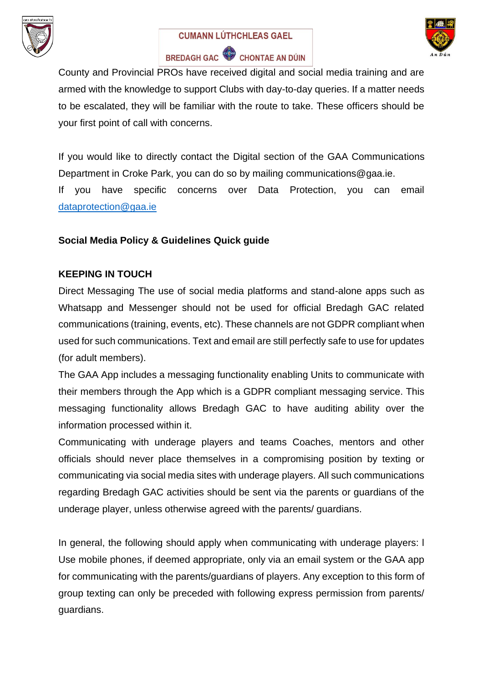





County and Provincial PROs have received digital and social media training and are armed with the knowledge to support Clubs with day-to-day queries. If a matter needs to be escalated, they will be familiar with the route to take. These officers should be your first point of call with concerns.

If you would like to directly contact the Digital section of the GAA Communications Department in Croke Park, you can do so by mailing communications@gaa.ie.

If you have specific concerns over Data Protection, you can email [dataprotection@gaa.ie](mailto:dataprotection@gaa.ie)

# **Social Media Policy & Guidelines Quick guide**

# **KEEPING IN TOUCH**

Direct Messaging The use of social media platforms and stand-alone apps such as Whatsapp and Messenger should not be used for official Bredagh GAC related communications (training, events, etc). These channels are not GDPR compliant when used for such communications. Text and email are still perfectly safe to use for updates (for adult members).

The GAA App includes a messaging functionality enabling Units to communicate with their members through the App which is a GDPR compliant messaging service. This messaging functionality allows Bredagh GAC to have auditing ability over the information processed within it.

Communicating with underage players and teams Coaches, mentors and other officials should never place themselves in a compromising position by texting or communicating via social media sites with underage players. All such communications regarding Bredagh GAC activities should be sent via the parents or guardians of the underage player, unless otherwise agreed with the parents/ guardians.

In general, the following should apply when communicating with underage players: I Use mobile phones, if deemed appropriate, only via an email system or the GAA app for communicating with the parents/guardians of players. Any exception to this form of group texting can only be preceded with following express permission from parents/ guardians.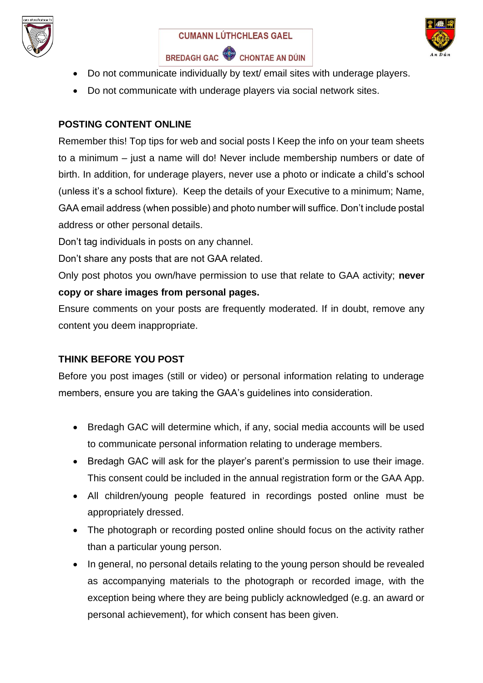





- Do not communicate individually by text/ email sites with underage players.
- Do not communicate with underage players via social network sites.

# **POSTING CONTENT ONLINE**

Remember this! Top tips for web and social posts l Keep the info on your team sheets to a minimum – just a name will do! Never include membership numbers or date of birth. In addition, for underage players, never use a photo or indicate a child's school (unless it's a school fixture). Keep the details of your Executive to a minimum; Name, GAA email address (when possible) and photo number will suffice. Don't include postal address or other personal details.

Don't tag individuals in posts on any channel.

Don't share any posts that are not GAA related.

Only post photos you own/have permission to use that relate to GAA activity; **never copy or share images from personal pages.**

Ensure comments on your posts are frequently moderated. If in doubt, remove any content you deem inappropriate.

# **THINK BEFORE YOU POST**

Before you post images (still or video) or personal information relating to underage members, ensure you are taking the GAA's guidelines into consideration.

- Bredagh GAC will determine which, if any, social media accounts will be used to communicate personal information relating to underage members.
- Bredagh GAC will ask for the player's parent's permission to use their image. This consent could be included in the annual registration form or the GAA App.
- All children/young people featured in recordings posted online must be appropriately dressed.
- The photograph or recording posted online should focus on the activity rather than a particular young person.
- In general, no personal details relating to the young person should be revealed as accompanying materials to the photograph or recorded image, with the exception being where they are being publicly acknowledged (e.g. an award or personal achievement), for which consent has been given.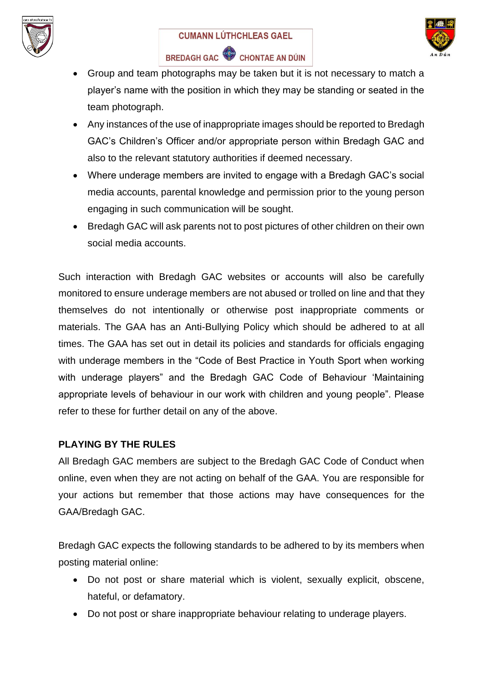



- BREDAGH GAC CHONTAE AN DÚIN
- Group and team photographs may be taken but it is not necessary to match a player's name with the position in which they may be standing or seated in the team photograph.
- Any instances of the use of inappropriate images should be reported to Bredagh GAC's Children's Officer and/or appropriate person within Bredagh GAC and also to the relevant statutory authorities if deemed necessary.
- Where underage members are invited to engage with a Bredagh GAC's social media accounts, parental knowledge and permission prior to the young person engaging in such communication will be sought.
- Bredagh GAC will ask parents not to post pictures of other children on their own social media accounts.

Such interaction with Bredagh GAC websites or accounts will also be carefully monitored to ensure underage members are not abused or trolled on line and that they themselves do not intentionally or otherwise post inappropriate comments or materials. The GAA has an Anti-Bullying Policy which should be adhered to at all times. The GAA has set out in detail its policies and standards for officials engaging with underage members in the "Code of Best Practice in Youth Sport when working with underage players" and the Bredagh GAC Code of Behaviour 'Maintaining appropriate levels of behaviour in our work with children and young people". Please refer to these for further detail on any of the above.

# **PLAYING BY THE RULES**

All Bredagh GAC members are subject to the Bredagh GAC Code of Conduct when online, even when they are not acting on behalf of the GAA. You are responsible for your actions but remember that those actions may have consequences for the GAA/Bredagh GAC.

Bredagh GAC expects the following standards to be adhered to by its members when posting material online:

- Do not post or share material which is violent, sexually explicit, obscene, hateful, or defamatory.
- Do not post or share inappropriate behaviour relating to underage players.